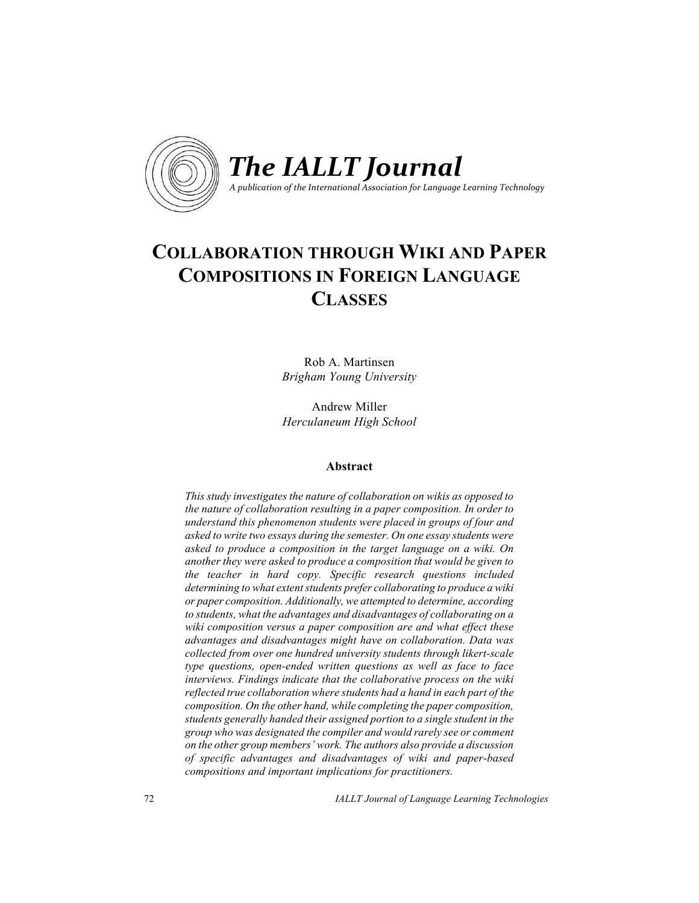

# **COLLABORATION THROUGH WIKI AND PAPER COMPOSITIONS IN FOREIGN LANGUAGE CLASSES**

Rob A. Martinsen *Brigham Young University*

Andrew Miller *Herculaneum High School*

### **Abstract**

*This study investigates the nature of collaboration on wikis as opposed to the nature of collaboration resulting in a paper composition. In order to understand this phenomenon students were placed in groups of four and asked to write two essays during the semester. On one essay students were asked to produce a composition in the target language on a wiki. On another they were asked to produce a composition that would be given to the teacher in hard copy. Specific research questions included determining to what extent students prefer collaborating to produce a wiki or paper composition. Additionally, we attempted to determine, according to students, what the advantages and disadvantages of collaborating on a wiki composition versus a paper composition are and what effect these advantages and disadvantages might have on collaboration. Data was collected from over one hundred university students through likert-scale type questions, open-ended written questions as well as face to face interviews. Findings indicate that the collaborative process on the wiki reflected true collaboration where students had a hand in each part of the composition. On the other hand, while completing the paper composition, students generally handed their assigned portion to a single student in the group who was designated the compiler and would rarely see or comment on the other group members' work. The authors also provide a discussion of specific advantages and disadvantages of wiki and paper-based compositions and important implications for practitioners.*

72 !!!!!!!!!!!!!!!!!!!!!!!!!!!!!!!!!!!!!!!!!!!!!!!!!!!!!!! *IALLT Journal of Language Learning Technologies*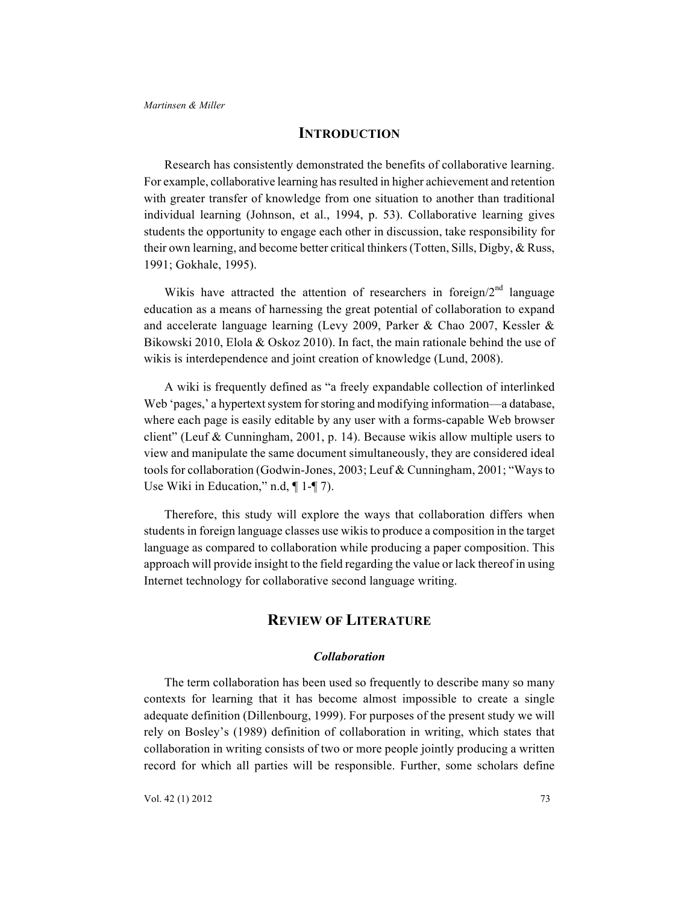## **INTRODUCTION**

Research has consistently demonstrated the benefits of collaborative learning. For example, collaborative learning has resulted in higher achievement and retention with greater transfer of knowledge from one situation to another than traditional individual learning (Johnson, et al., 1994, p. 53). Collaborative learning gives students the opportunity to engage each other in discussion, take responsibility for their own learning, and become better critical thinkers (Totten, Sills, Digby, & Russ, 1991; Gokhale, 1995).

Wikis have attracted the attention of researchers in foreign/ $2<sup>nd</sup>$  language education as a means of harnessing the great potential of collaboration to expand and accelerate language learning (Levy 2009, Parker & Chao 2007, Kessler & Bikowski 2010, Elola & Oskoz 2010). In fact, the main rationale behind the use of wikis is interdependence and joint creation of knowledge (Lund, 2008).

A wiki is frequently defined as "a freely expandable collection of interlinked Web 'pages,' a hypertext system for storing and modifying information—a database, where each page is easily editable by any user with a forms-capable Web browser client" (Leuf & Cunningham, 2001, p. 14). Because wikis allow multiple users to view and manipulate the same document simultaneously, they are considered ideal tools for collaboration (Godwin-Jones, 2003; Leuf & Cunningham, 2001; "Ways to Use Wiki in Education," n.d,  $\P$  1- $\P$  7).

Therefore, this study will explore the ways that collaboration differs when students in foreign language classes use wikis to produce a composition in the target language as compared to collaboration while producing a paper composition. This approach will provide insight to the field regarding the value or lack thereof in using Internet technology for collaborative second language writing.

# **REVIEW OF LITERATURE**

## *Collaboration*

The term collaboration has been used so frequently to describe many so many contexts for learning that it has become almost impossible to create a single adequate definition (Dillenbourg, 1999). For purposes of the present study we will rely on Bosley's (1989) definition of collaboration in writing, which states that collaboration in writing consists of two or more people jointly producing a written record for which all parties will be responsible. Further, some scholars define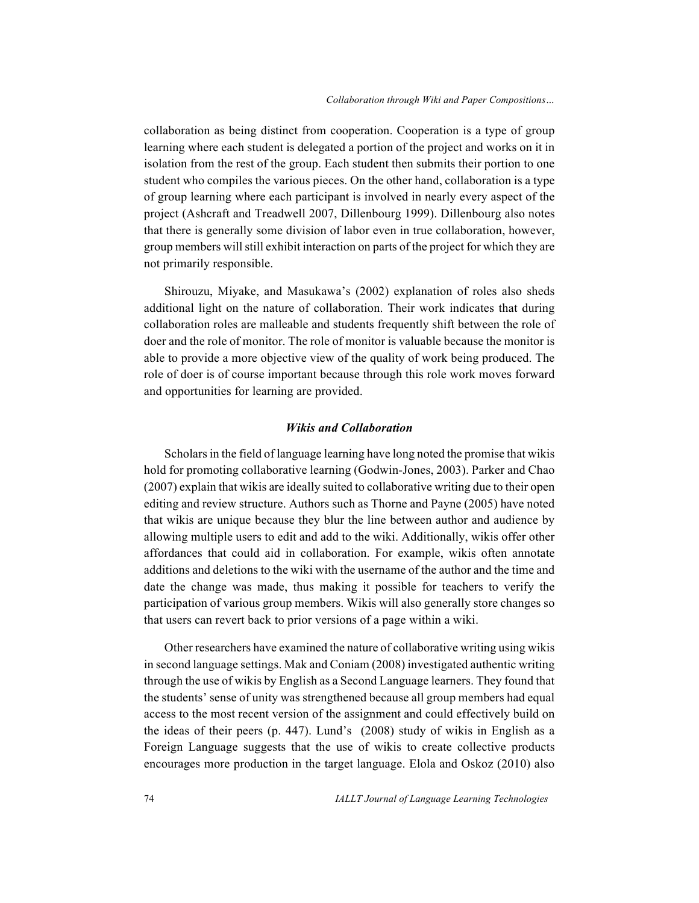collaboration as being distinct from cooperation. Cooperation is a type of group learning where each student is delegated a portion of the project and works on it in isolation from the rest of the group. Each student then submits their portion to one student who compiles the various pieces. On the other hand, collaboration is a type of group learning where each participant is involved in nearly every aspect of the project (Ashcraft and Treadwell 2007, Dillenbourg 1999). Dillenbourg also notes that there is generally some division of labor even in true collaboration, however, group members will still exhibit interaction on parts of the project for which they are not primarily responsible.

Shirouzu, Miyake, and Masukawa's (2002) explanation of roles also sheds additional light on the nature of collaboration. Their work indicates that during collaboration roles are malleable and students frequently shift between the role of doer and the role of monitor. The role of monitor is valuable because the monitor is able to provide a more objective view of the quality of work being produced. The role of doer is of course important because through this role work moves forward and opportunities for learning are provided.

## *Wikis and Collaboration*

Scholars in the field of language learning have long noted the promise that wikis hold for promoting collaborative learning (Godwin-Jones, 2003). Parker and Chao (2007) explain that wikis are ideally suited to collaborative writing due to their open editing and review structure. Authors such as Thorne and Payne (2005) have noted that wikis are unique because they blur the line between author and audience by allowing multiple users to edit and add to the wiki. Additionally, wikis offer other affordances that could aid in collaboration. For example, wikis often annotate additions and deletions to the wiki with the username of the author and the time and date the change was made, thus making it possible for teachers to verify the participation of various group members. Wikis will also generally store changes so that users can revert back to prior versions of a page within a wiki.

Other researchers have examined the nature of collaborative writing using wikis in second language settings. Mak and Coniam (2008) investigated authentic writing through the use of wikis by English as a Second Language learners. They found that the students' sense of unity was strengthened because all group members had equal access to the most recent version of the assignment and could effectively build on the ideas of their peers (p. 447). Lund's (2008) study of wikis in English as a Foreign Language suggests that the use of wikis to create collective products encourages more production in the target language. Elola and Oskoz (2010) also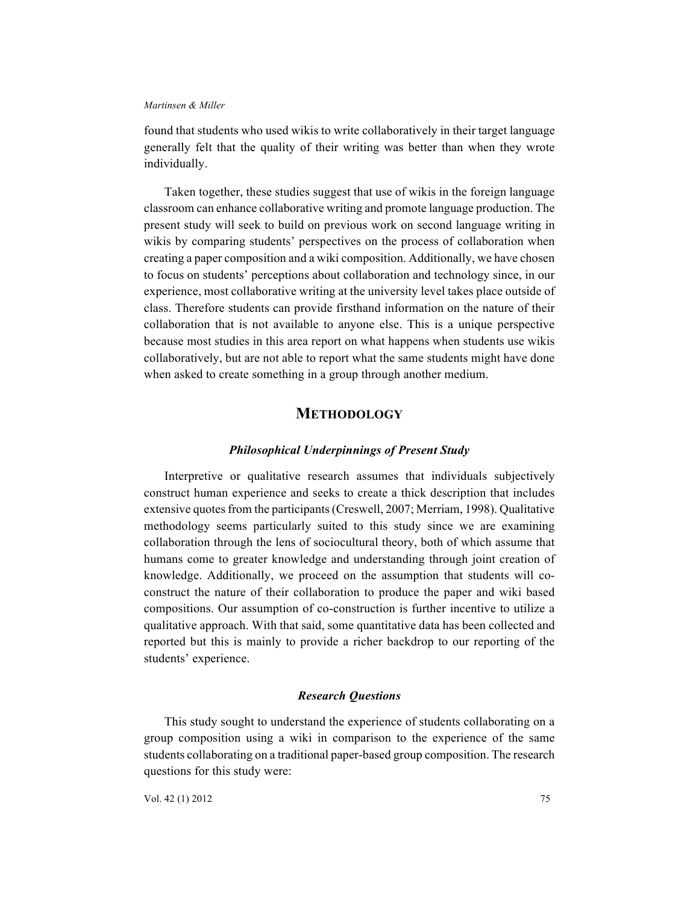found that students who used wikis to write collaboratively in their target language generally felt that the quality of their writing was better than when they wrote individually.

Taken together, these studies suggest that use of wikis in the foreign language classroom can enhance collaborative writing and promote language production. The present study will seek to build on previous work on second language writing in wikis by comparing students' perspectives on the process of collaboration when creating a paper composition and a wiki composition. Additionally, we have chosen to focus on students' perceptions about collaboration and technology since, in our experience, most collaborative writing at the university level takes place outside of class. Therefore students can provide firsthand information on the nature of their collaboration that is not available to anyone else. This is a unique perspective because most studies in this area report on what happens when students use wikis collaboratively, but are not able to report what the same students might have done when asked to create something in a group through another medium.

# **METHODOLOGY**

## *Philosophical Underpinnings of Present Study*

Interpretive or qualitative research assumes that individuals subjectively construct human experience and seeks to create a thick description that includes extensive quotes from the participants (Creswell, 2007; Merriam, 1998). Qualitative methodology seems particularly suited to this study since we are examining collaboration through the lens of sociocultural theory, both of which assume that humans come to greater knowledge and understanding through joint creation of knowledge. Additionally, we proceed on the assumption that students will coconstruct the nature of their collaboration to produce the paper and wiki based compositions. Our assumption of co-construction is further incentive to utilize a qualitative approach. With that said, some quantitative data has been collected and reported but this is mainly to provide a richer backdrop to our reporting of the students' experience.

## *Research Questions*

This study sought to understand the experience of students collaborating on a group composition using a wiki in comparison to the experience of the same students collaborating on a traditional paper-based group composition. The research questions for this study were: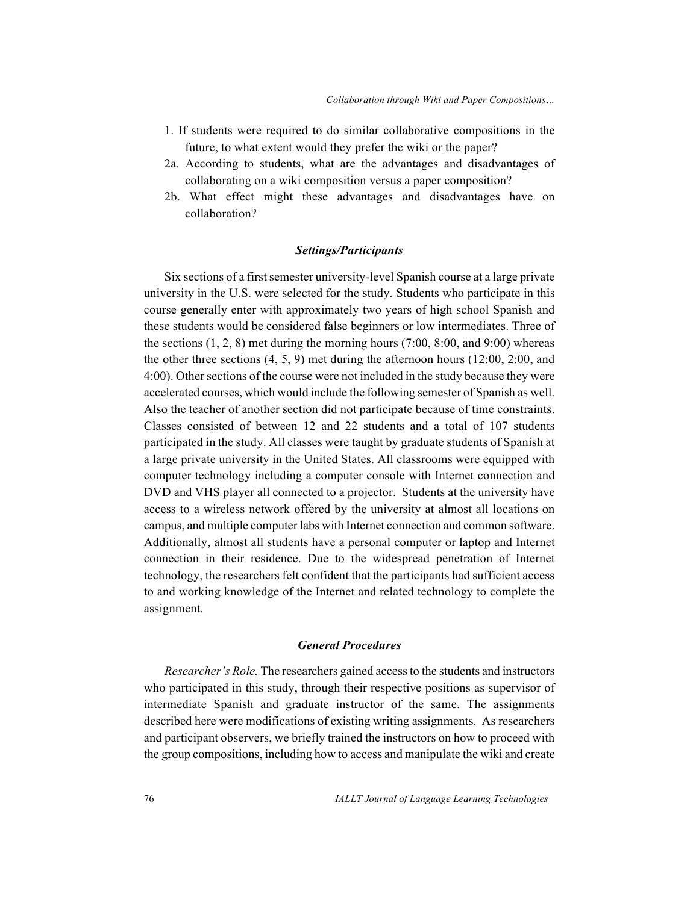- 1. If students were required to do similar collaborative compositions in the future, to what extent would they prefer the wiki or the paper?
- 2a. According to students, what are the advantages and disadvantages of collaborating on a wiki composition versus a paper composition?
- 2b. What effect might these advantages and disadvantages have on collaboration?

## *Settings/Participants*

Six sections of a first semester university-level Spanish course at a large private university in the U.S. were selected for the study. Students who participate in this course generally enter with approximately two years of high school Spanish and these students would be considered false beginners or low intermediates. Three of the sections  $(1, 2, 8)$  met during the morning hours  $(7:00, 8:00,$  and  $9:00)$  whereas the other three sections (4, 5, 9) met during the afternoon hours (12:00, 2:00, and 4:00). Other sections of the course were not included in the study because they were accelerated courses, which would include the following semester of Spanish as well. Also the teacher of another section did not participate because of time constraints. Classes consisted of between 12 and 22 students and a total of 107 students participated in the study. All classes were taught by graduate students of Spanish at a large private university in the United States. All classrooms were equipped with computer technology including a computer console with Internet connection and DVD and VHS player all connected to a projector. Students at the university have access to a wireless network offered by the university at almost all locations on campus, and multiple computer labs with Internet connection and common software. Additionally, almost all students have a personal computer or laptop and Internet connection in their residence. Due to the widespread penetration of Internet technology, the researchers felt confident that the participants had sufficient access to and working knowledge of the Internet and related technology to complete the assignment.

## *General Procedures*

*Researcher's Role.* The researchers gained access to the students and instructors who participated in this study, through their respective positions as supervisor of intermediate Spanish and graduate instructor of the same. The assignments described here were modifications of existing writing assignments. As researchers and participant observers, we briefly trained the instructors on how to proceed with the group compositions, including how to access and manipulate the wiki and create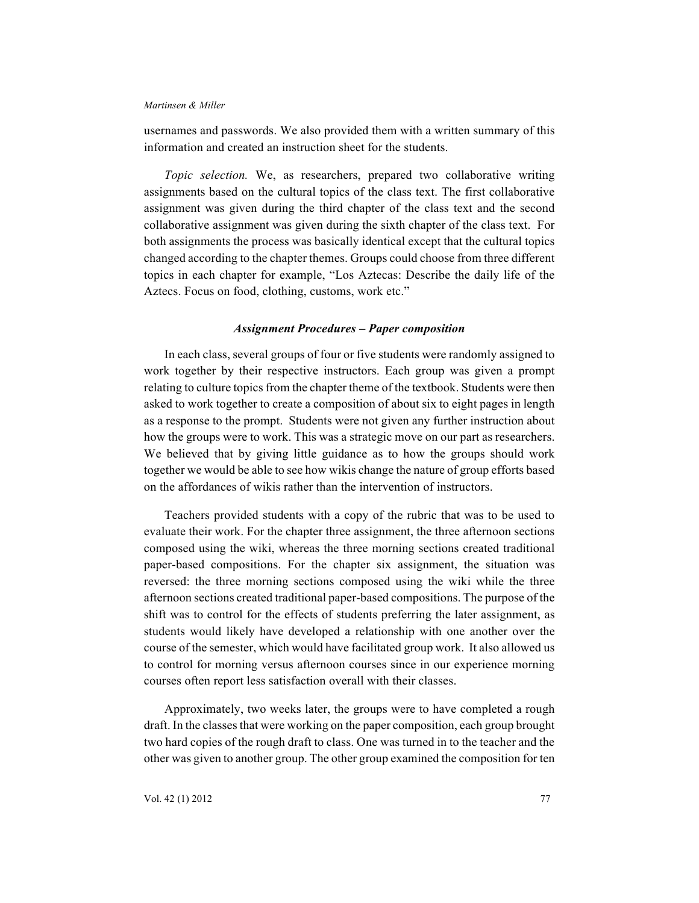usernames and passwords. We also provided them with a written summary of this information and created an instruction sheet for the students.

*Topic selection.* We, as researchers, prepared two collaborative writing assignments based on the cultural topics of the class text. The first collaborative assignment was given during the third chapter of the class text and the second collaborative assignment was given during the sixth chapter of the class text. For both assignments the process was basically identical except that the cultural topics changed according to the chapter themes. Groups could choose from three different topics in each chapter for example, "Los Aztecas: Describe the daily life of the Aztecs. Focus on food, clothing, customs, work etc."

## *Assignment Procedures – Paper composition*

In each class, several groups of four or five students were randomly assigned to work together by their respective instructors. Each group was given a prompt relating to culture topics from the chapter theme of the textbook. Students were then asked to work together to create a composition of about six to eight pages in length as a response to the prompt. Students were not given any further instruction about how the groups were to work. This was a strategic move on our part as researchers. We believed that by giving little guidance as to how the groups should work together we would be able to see how wikis change the nature of group efforts based on the affordances of wikis rather than the intervention of instructors.

Teachers provided students with a copy of the rubric that was to be used to evaluate their work. For the chapter three assignment, the three afternoon sections composed using the wiki, whereas the three morning sections created traditional paper-based compositions. For the chapter six assignment, the situation was reversed: the three morning sections composed using the wiki while the three afternoon sections created traditional paper-based compositions. The purpose of the shift was to control for the effects of students preferring the later assignment, as students would likely have developed a relationship with one another over the course of the semester, which would have facilitated group work. It also allowed us to control for morning versus afternoon courses since in our experience morning courses often report less satisfaction overall with their classes.

Approximately, two weeks later, the groups were to have completed a rough draft. In the classes that were working on the paper composition, each group brought two hard copies of the rough draft to class. One was turned in to the teacher and the other was given to another group. The other group examined the composition for ten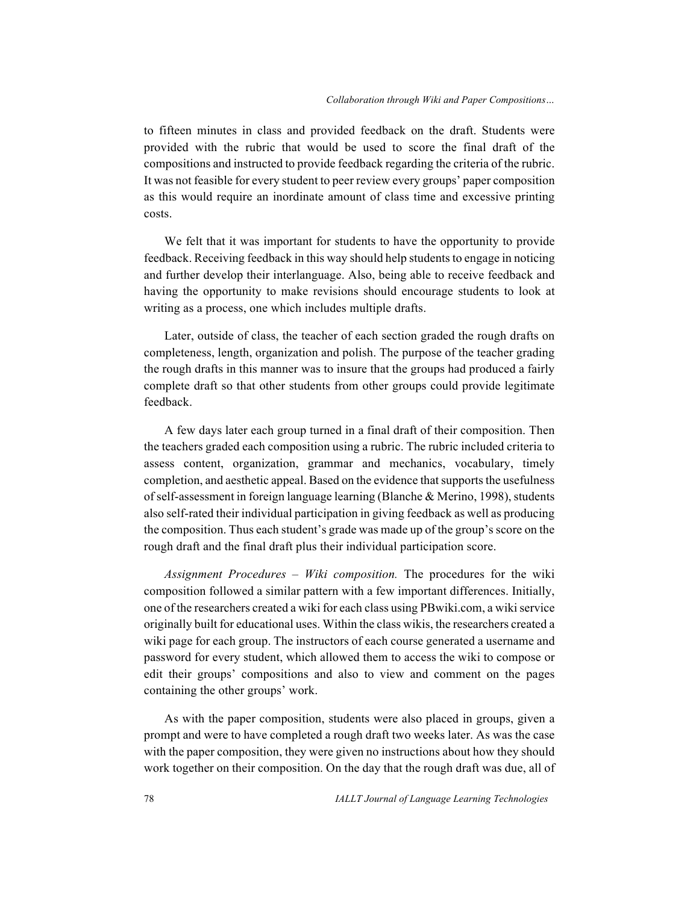to fifteen minutes in class and provided feedback on the draft. Students were provided with the rubric that would be used to score the final draft of the compositions and instructed to provide feedback regarding the criteria of the rubric. It was not feasible for every student to peer review every groups' paper composition as this would require an inordinate amount of class time and excessive printing costs.

We felt that it was important for students to have the opportunity to provide feedback. Receiving feedback in this way should help students to engage in noticing and further develop their interlanguage. Also, being able to receive feedback and having the opportunity to make revisions should encourage students to look at writing as a process, one which includes multiple drafts.

Later, outside of class, the teacher of each section graded the rough drafts on completeness, length, organization and polish. The purpose of the teacher grading the rough drafts in this manner was to insure that the groups had produced a fairly complete draft so that other students from other groups could provide legitimate feedback.

A few days later each group turned in a final draft of their composition. Then the teachers graded each composition using a rubric. The rubric included criteria to assess content, organization, grammar and mechanics, vocabulary, timely completion, and aesthetic appeal. Based on the evidence that supports the usefulness of self-assessment in foreign language learning (Blanche & Merino, 1998), students also self-rated their individual participation in giving feedback as well as producing the composition. Thus each student's grade was made up of the group's score on the rough draft and the final draft plus their individual participation score.

*Assignment Procedures – Wiki composition.* The procedures for the wiki composition followed a similar pattern with a few important differences. Initially, one of the researchers created a wiki for each class using PBwiki.com, a wiki service originally built for educational uses. Within the class wikis, the researchers created a wiki page for each group. The instructors of each course generated a username and password for every student, which allowed them to access the wiki to compose or edit their groups' compositions and also to view and comment on the pages containing the other groups' work.

As with the paper composition, students were also placed in groups, given a prompt and were to have completed a rough draft two weeks later. As was the case with the paper composition, they were given no instructions about how they should work together on their composition. On the day that the rough draft was due, all of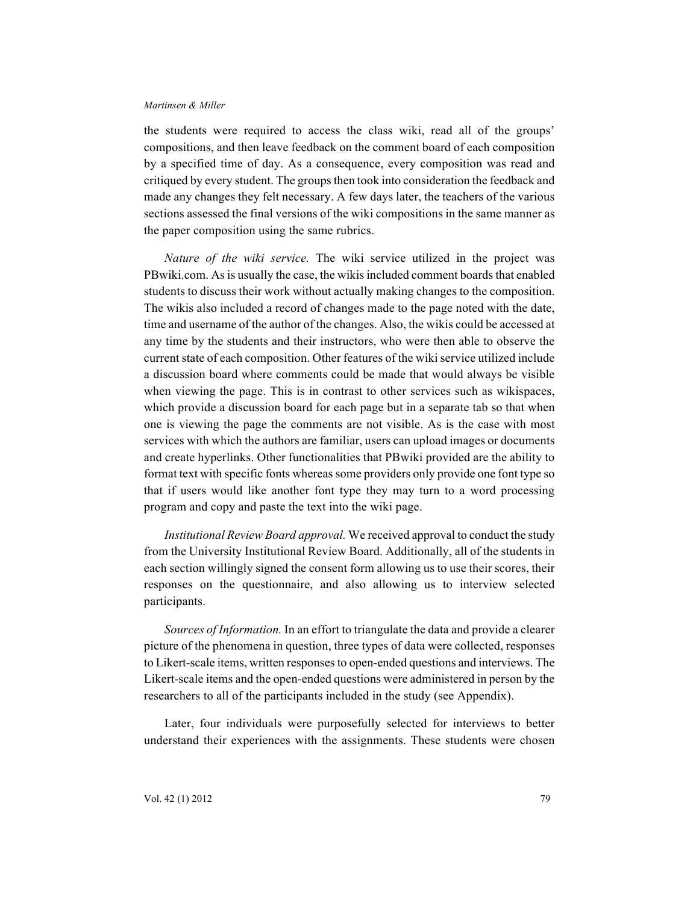the students were required to access the class wiki, read all of the groups' compositions, and then leave feedback on the comment board of each composition by a specified time of day. As a consequence, every composition was read and critiqued by every student. The groups then took into consideration the feedback and made any changes they felt necessary. A few days later, the teachers of the various sections assessed the final versions of the wiki compositions in the same manner as the paper composition using the same rubrics.

*Nature of the wiki service.* The wiki service utilized in the project was PBwiki.com. As is usually the case, the wikis included comment boards that enabled students to discuss their work without actually making changes to the composition. The wikis also included a record of changes made to the page noted with the date, time and username of the author of the changes. Also, the wikis could be accessed at any time by the students and their instructors, who were then able to observe the current state of each composition. Other features of the wiki service utilized include a discussion board where comments could be made that would always be visible when viewing the page. This is in contrast to other services such as wikispaces, which provide a discussion board for each page but in a separate tab so that when one is viewing the page the comments are not visible. As is the case with most services with which the authors are familiar, users can upload images or documents and create hyperlinks. Other functionalities that PBwiki provided are the ability to format text with specific fonts whereas some providers only provide one font type so that if users would like another font type they may turn to a word processing program and copy and paste the text into the wiki page.

*Institutional Review Board approval.* We received approval to conduct the study from the University Institutional Review Board. Additionally, all of the students in each section willingly signed the consent form allowing us to use their scores, their responses on the questionnaire, and also allowing us to interview selected participants.

*Sources of Information.* In an effort to triangulate the data and provide a clearer picture of the phenomena in question, three types of data were collected, responses to Likert-scale items, written responses to open-ended questions and interviews. The Likert-scale items and the open-ended questions were administered in person by the researchers to all of the participants included in the study (see Appendix).

Later, four individuals were purposefully selected for interviews to better understand their experiences with the assignments. These students were chosen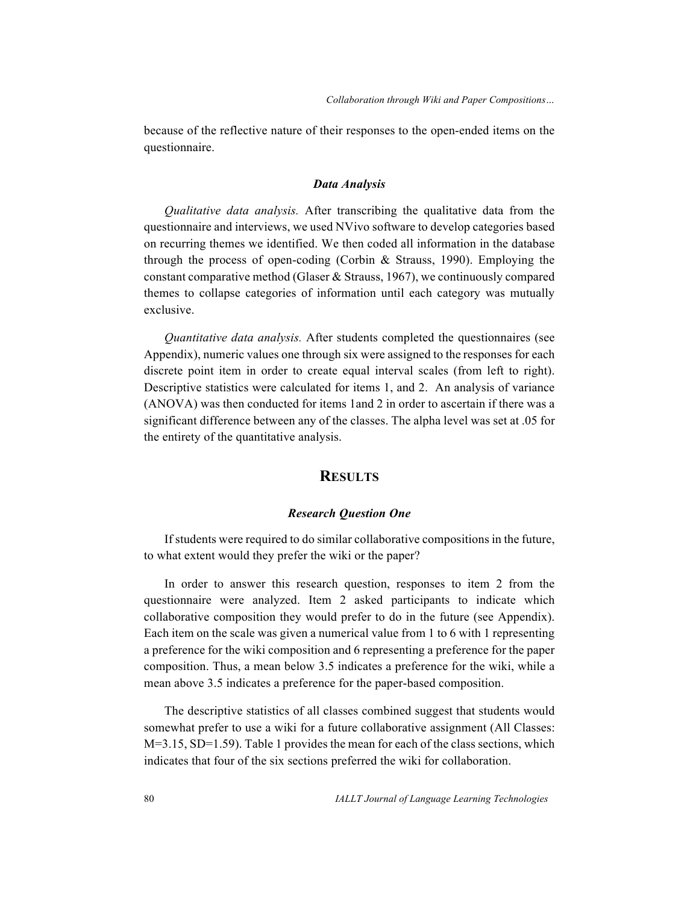because of the reflective nature of their responses to the open-ended items on the questionnaire.

## *Data Analysis*

*Qualitative data analysis.* After transcribing the qualitative data from the questionnaire and interviews, we used NVivo software to develop categories based on recurring themes we identified. We then coded all information in the database through the process of open-coding (Corbin & Strauss, 1990). Employing the constant comparative method (Glaser & Strauss, 1967), we continuously compared themes to collapse categories of information until each category was mutually exclusive.

*Quantitative data analysis.* After students completed the questionnaires (see Appendix), numeric values one through six were assigned to the responses for each discrete point item in order to create equal interval scales (from left to right). Descriptive statistics were calculated for items 1, and 2. An analysis of variance (ANOVA) was then conducted for items 1and 2 in order to ascertain if there was a significant difference between any of the classes. The alpha level was set at .05 for the entirety of the quantitative analysis.

# **RESULTS**

## *Research Question One*

If students were required to do similar collaborative compositions in the future, to what extent would they prefer the wiki or the paper?

In order to answer this research question, responses to item 2 from the questionnaire were analyzed. Item 2 asked participants to indicate which collaborative composition they would prefer to do in the future (see Appendix). Each item on the scale was given a numerical value from 1 to 6 with 1 representing a preference for the wiki composition and 6 representing a preference for the paper composition. Thus, a mean below 3.5 indicates a preference for the wiki, while a mean above 3.5 indicates a preference for the paper-based composition.

The descriptive statistics of all classes combined suggest that students would somewhat prefer to use a wiki for a future collaborative assignment (All Classes: M=3.15, SD=1.59). Table 1 provides the mean for each of the class sections, which indicates that four of the six sections preferred the wiki for collaboration.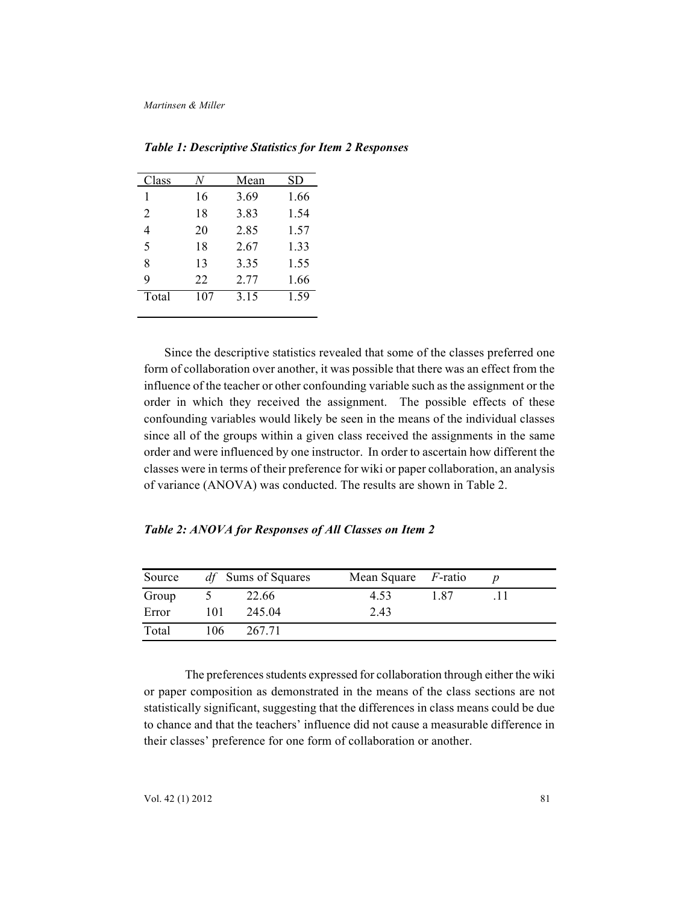| Class |     | Mean | SD   |
|-------|-----|------|------|
| 1     | 16  | 3.69 | 1.66 |
| 2     | 18  | 3.83 | 1.54 |
| 4     | 20  | 2.85 | 1.57 |
| 5     | 18  | 2.67 | 1.33 |
| 8     | 13  | 3.35 | 1.55 |
| 9     | 22  | 2.77 | 1.66 |
| Total | 107 | 3.15 | 1.59 |
|       |     |      |      |

*Table 1: Descriptive Statistics for Item 2 Responses*

Since the descriptive statistics revealed that some of the classes preferred one form of collaboration over another, it was possible that there was an effect from the influence of the teacher or other confounding variable such as the assignment or the order in which they received the assignment. The possible effects of these confounding variables would likely be seen in the means of the individual classes since all of the groups within a given class received the assignments in the same order and were influenced by one instructor. In order to ascertain how different the classes were in terms of their preference for wiki or paper collaboration, an analysis of variance (ANOVA) was conducted. The results are shown in Table 2.

*Table 2: ANOVA for Responses of All Classes on Item 2* 

| Source |     | <i>df</i> Sums of Squares | Mean Square F-ratio |     |  |
|--------|-----|---------------------------|---------------------|-----|--|
| Group  |     | 22.66                     | 4.53                | 187 |  |
| Error  | 101 | 245.04                    | 2.43                |     |  |
| Total  | 106 | 267.71                    |                     |     |  |

The preferences students expressed for collaboration through either the wiki or paper composition as demonstrated in the means of the class sections are not statistically significant, suggesting that the differences in class means could be due to chance and that the teachers' influence did not cause a measurable difference in their classes' preference for one form of collaboration or another.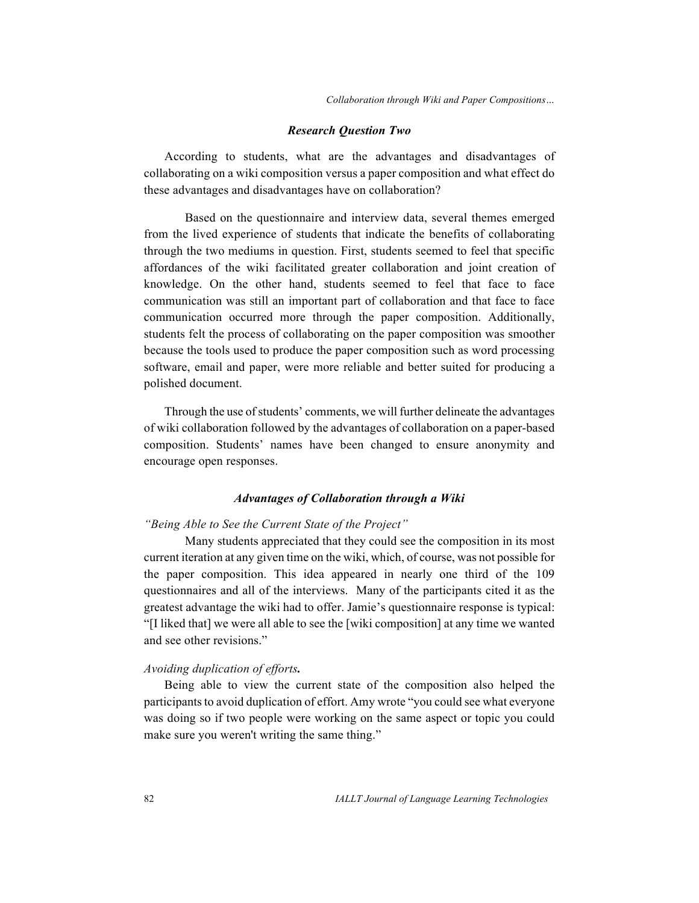*Collaboration through Wiki and Paper Compositions…*

## *Research Question Two*

According to students, what are the advantages and disadvantages of collaborating on a wiki composition versus a paper composition and what effect do these advantages and disadvantages have on collaboration?

Based on the questionnaire and interview data, several themes emerged from the lived experience of students that indicate the benefits of collaborating through the two mediums in question. First, students seemed to feel that specific affordances of the wiki facilitated greater collaboration and joint creation of knowledge. On the other hand, students seemed to feel that face to face communication was still an important part of collaboration and that face to face communication occurred more through the paper composition. Additionally, students felt the process of collaborating on the paper composition was smoother because the tools used to produce the paper composition such as word processing software, email and paper, were more reliable and better suited for producing a polished document.

Through the use of students' comments, we will further delineate the advantages of wiki collaboration followed by the advantages of collaboration on a paper-based composition. Students' names have been changed to ensure anonymity and encourage open responses.

## *Advantages of Collaboration through a Wiki*

## *"Being Able to See the Current State of the Project"*

Many students appreciated that they could see the composition in its most current iteration at any given time on the wiki, which, of course, was not possible for the paper composition. This idea appeared in nearly one third of the 109 questionnaires and all of the interviews. Many of the participants cited it as the greatest advantage the wiki had to offer. Jamie's questionnaire response is typical: "[I liked that] we were all able to see the [wiki composition] at any time we wanted and see other revisions."

#### *Avoiding duplication of efforts.*

Being able to view the current state of the composition also helped the participants to avoid duplication of effort. Amy wrote "you could see what everyone was doing so if two people were working on the same aspect or topic you could make sure you weren't writing the same thing."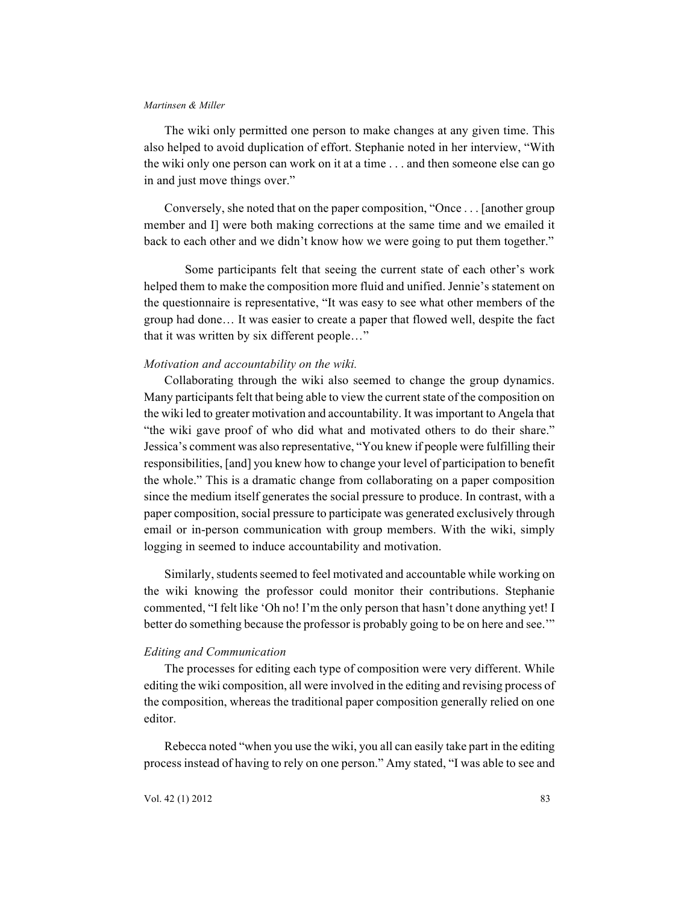The wiki only permitted one person to make changes at any given time. This also helped to avoid duplication of effort. Stephanie noted in her interview, "With the wiki only one person can work on it at a time . . . and then someone else can go in and just move things over."

Conversely, she noted that on the paper composition, "Once . . . [another group member and I] were both making corrections at the same time and we emailed it back to each other and we didn't know how we were going to put them together."

Some participants felt that seeing the current state of each other's work helped them to make the composition more fluid and unified. Jennie's statement on the questionnaire is representative, "It was easy to see what other members of the group had done… It was easier to create a paper that flowed well, despite the fact that it was written by six different people…"

## *Motivation and accountability on the wiki.*

Collaborating through the wiki also seemed to change the group dynamics. Many participants felt that being able to view the current state of the composition on the wiki led to greater motivation and accountability. It was important to Angela that "the wiki gave proof of who did what and motivated others to do their share." Jessica's comment was also representative, "You knew if people were fulfilling their responsibilities, [and] you knew how to change your level of participation to benefit the whole." This is a dramatic change from collaborating on a paper composition since the medium itself generates the social pressure to produce. In contrast, with a paper composition, social pressure to participate was generated exclusively through email or in-person communication with group members. With the wiki, simply logging in seemed to induce accountability and motivation.

Similarly, students seemed to feel motivated and accountable while working on the wiki knowing the professor could monitor their contributions. Stephanie commented, "I felt like 'Oh no! I'm the only person that hasn't done anything yet! I better do something because the professor is probably going to be on here and see.'"

#### *Editing and Communication*

The processes for editing each type of composition were very different. While editing the wiki composition, all were involved in the editing and revising process of the composition, whereas the traditional paper composition generally relied on one editor.

Rebecca noted "when you use the wiki, you all can easily take part in the editing process instead of having to rely on one person." Amy stated, "I was able to see and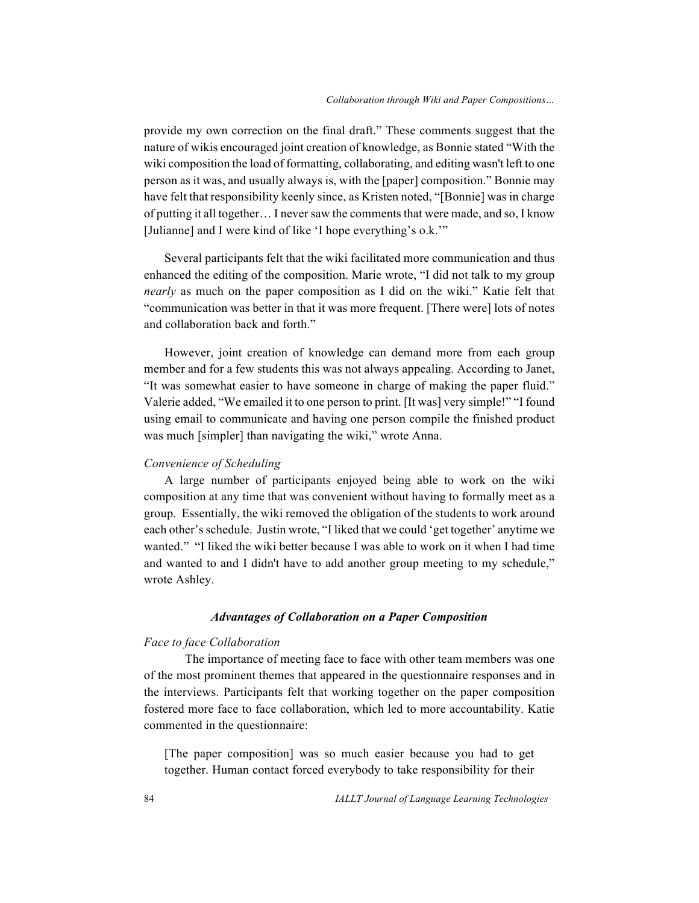provide my own correction on the final draft." These comments suggest that the nature of wikis encouraged joint creation of knowledge, as Bonnie stated "With the wiki composition the load of formatting, collaborating, and editing wasn't left to one person as it was, and usually always is, with the [paper] composition." Bonnie may have felt that responsibility keenly since, as Kristen noted, "[Bonnie] was in charge of putting it all together… I never saw the comments that were made, and so, I know [Julianne] and I were kind of like 'I hope everything's o.k."

Several participants felt that the wiki facilitated more communication and thus enhanced the editing of the composition. Marie wrote, "I did not talk to my group *nearly* as much on the paper composition as I did on the wiki." Katie felt that "communication was better in that it was more frequent. [There were] lots of notes and collaboration back and forth."

However, joint creation of knowledge can demand more from each group member and for a few students this was not always appealing. According to Janet, "It was somewhat easier to have someone in charge of making the paper fluid." Valerie added, "We emailed it to one person to print. [It was] very simple!" "I found using email to communicate and having one person compile the finished product was much [simpler] than navigating the wiki," wrote Anna.

## *Convenience of Scheduling*

A large number of participants enjoyed being able to work on the wiki composition at any time that was convenient without having to formally meet as a group. Essentially, the wiki removed the obligation of the students to work around each other's schedule. Justin wrote, "I liked that we could 'get together' anytime we wanted." "I liked the wiki better because I was able to work on it when I had time and wanted to and I didn't have to add another group meeting to my schedule," wrote Ashley.

## *Advantages of Collaboration on a Paper Composition*

## *Face to face Collaboration*

The importance of meeting face to face with other team members was one of the most prominent themes that appeared in the questionnaire responses and in the interviews. Participants felt that working together on the paper composition fostered more face to face collaboration, which led to more accountability. Katie commented in the questionnaire:

[The paper composition] was so much easier because you had to get together. Human contact forced everybody to take responsibility for their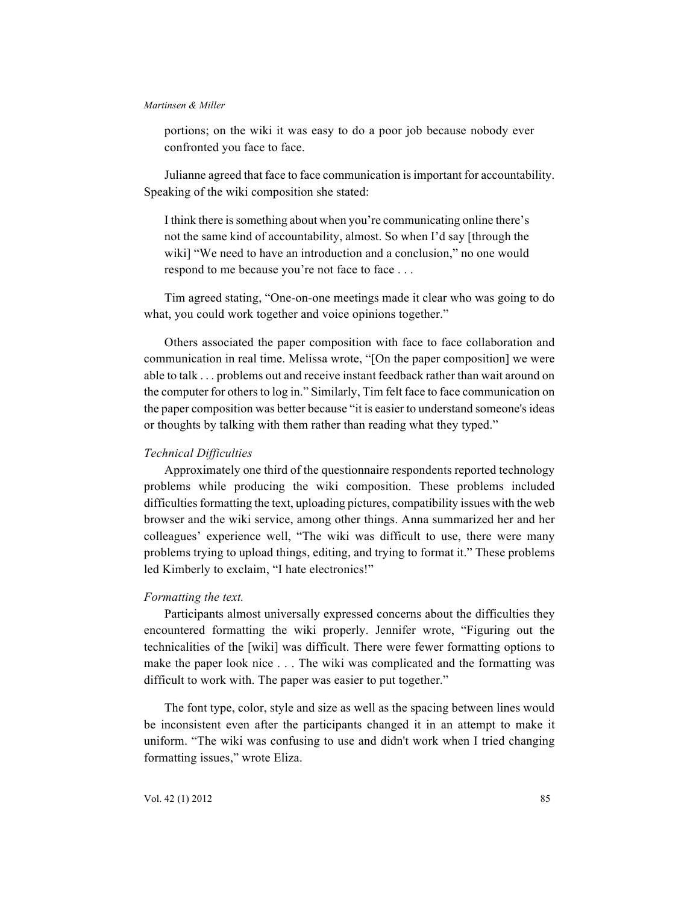portions; on the wiki it was easy to do a poor job because nobody ever confronted you face to face.

Julianne agreed that face to face communication is important for accountability. Speaking of the wiki composition she stated:

I think there is something about when you're communicating online there's not the same kind of accountability, almost. So when I'd say [through the wiki] "We need to have an introduction and a conclusion," no one would respond to me because you're not face to face . . .

Tim agreed stating, "One-on-one meetings made it clear who was going to do what, you could work together and voice opinions together."

Others associated the paper composition with face to face collaboration and communication in real time. Melissa wrote, "[On the paper composition] we were able to talk . . . problems out and receive instant feedback rather than wait around on the computer for others to log in." Similarly, Tim felt face to face communication on the paper composition was better because "it is easier to understand someone's ideas or thoughts by talking with them rather than reading what they typed."

## *Technical Difficulties*

Approximately one third of the questionnaire respondents reported technology problems while producing the wiki composition. These problems included difficulties formatting the text, uploading pictures, compatibility issues with the web browser and the wiki service, among other things. Anna summarized her and her colleagues' experience well, "The wiki was difficult to use, there were many problems trying to upload things, editing, and trying to format it." These problems led Kimberly to exclaim, "I hate electronics!"

## *Formatting the text.*

Participants almost universally expressed concerns about the difficulties they encountered formatting the wiki properly. Jennifer wrote, "Figuring out the technicalities of the [wiki] was difficult. There were fewer formatting options to make the paper look nice . . . The wiki was complicated and the formatting was difficult to work with. The paper was easier to put together."

The font type, color, style and size as well as the spacing between lines would be inconsistent even after the participants changed it in an attempt to make it uniform. "The wiki was confusing to use and didn't work when I tried changing formatting issues," wrote Eliza.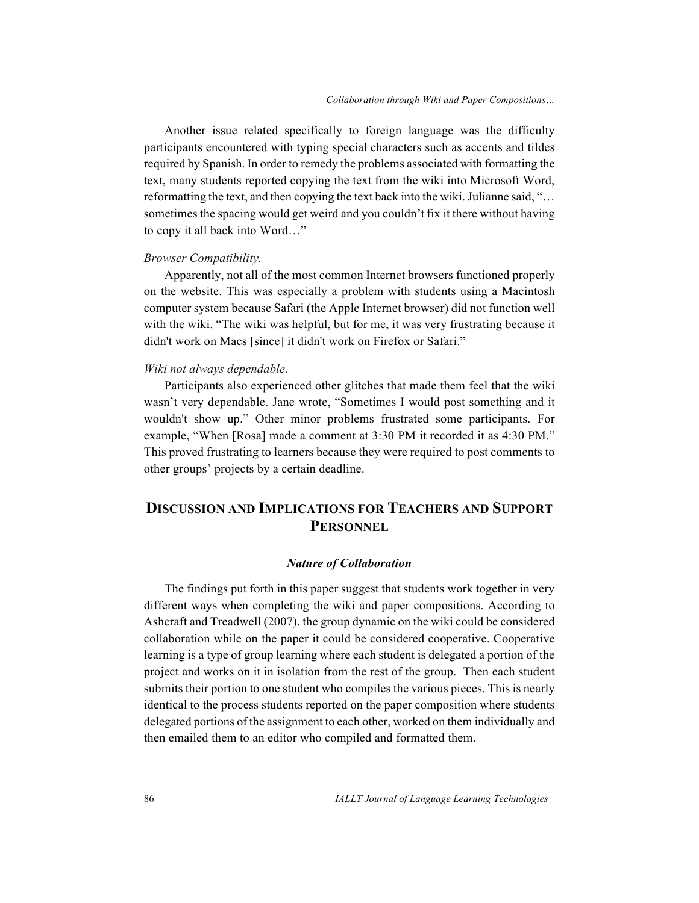Another issue related specifically to foreign language was the difficulty participants encountered with typing special characters such as accents and tildes required by Spanish. In order to remedy the problems associated with formatting the text, many students reported copying the text from the wiki into Microsoft Word, reformatting the text, and then copying the text back into the wiki. Julianne said, "… sometimes the spacing would get weird and you couldn't fix it there without having to copy it all back into Word…"

#### *Browser Compatibility.*

Apparently, not all of the most common Internet browsers functioned properly on the website. This was especially a problem with students using a Macintosh computer system because Safari (the Apple Internet browser) did not function well with the wiki. "The wiki was helpful, but for me, it was very frustrating because it didn't work on Macs [since] it didn't work on Firefox or Safari."

## *Wiki not always dependable.*

Participants also experienced other glitches that made them feel that the wiki wasn't very dependable. Jane wrote, "Sometimes I would post something and it wouldn't show up." Other minor problems frustrated some participants. For example, "When [Rosa] made a comment at 3:30 PM it recorded it as 4:30 PM." This proved frustrating to learners because they were required to post comments to other groups' projects by a certain deadline.

# **DISCUSSION AND IMPLICATIONS FOR TEACHERS AND SUPPORT PERSONNEL**

#### *Nature of Collaboration*

The findings put forth in this paper suggest that students work together in very different ways when completing the wiki and paper compositions. According to Ashcraft and Treadwell (2007), the group dynamic on the wiki could be considered collaboration while on the paper it could be considered cooperative. Cooperative learning is a type of group learning where each student is delegated a portion of the project and works on it in isolation from the rest of the group. Then each student submits their portion to one student who compiles the various pieces. This is nearly identical to the process students reported on the paper composition where students delegated portions of the assignment to each other, worked on them individually and then emailed them to an editor who compiled and formatted them.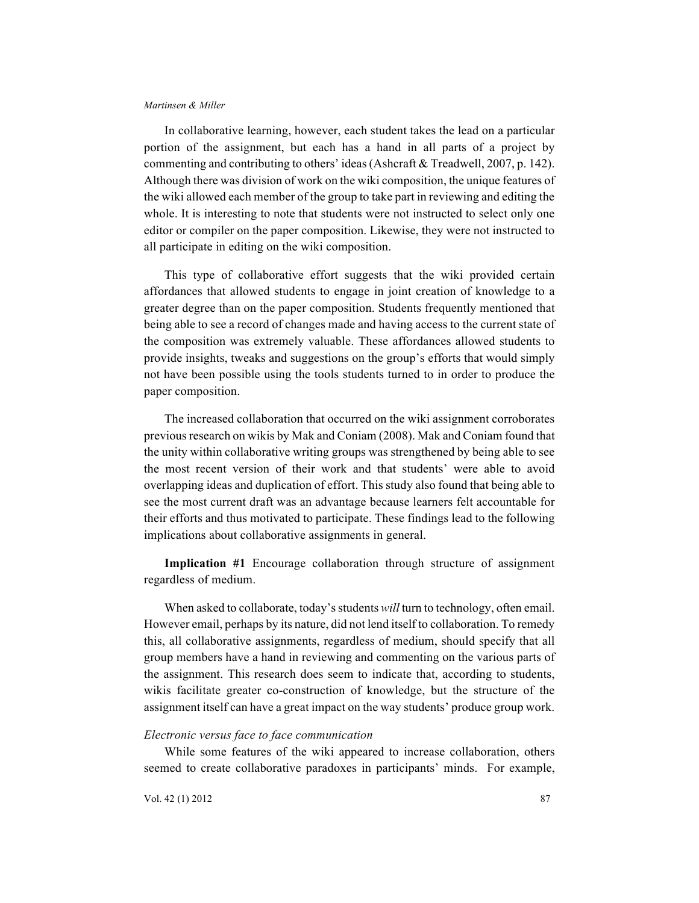In collaborative learning, however, each student takes the lead on a particular portion of the assignment, but each has a hand in all parts of a project by commenting and contributing to others' ideas (Ashcraft & Treadwell, 2007, p. 142). Although there was division of work on the wiki composition, the unique features of the wiki allowed each member of the group to take part in reviewing and editing the whole. It is interesting to note that students were not instructed to select only one editor or compiler on the paper composition. Likewise, they were not instructed to all participate in editing on the wiki composition.

This type of collaborative effort suggests that the wiki provided certain affordances that allowed students to engage in joint creation of knowledge to a greater degree than on the paper composition. Students frequently mentioned that being able to see a record of changes made and having access to the current state of the composition was extremely valuable. These affordances allowed students to provide insights, tweaks and suggestions on the group's efforts that would simply not have been possible using the tools students turned to in order to produce the paper composition.

The increased collaboration that occurred on the wiki assignment corroborates previous research on wikis by Mak and Coniam (2008). Mak and Coniam found that the unity within collaborative writing groups was strengthened by being able to see the most recent version of their work and that students' were able to avoid overlapping ideas and duplication of effort. This study also found that being able to see the most current draft was an advantage because learners felt accountable for their efforts and thus motivated to participate. These findings lead to the following implications about collaborative assignments in general.

**Implication #1** Encourage collaboration through structure of assignment regardless of medium.

When asked to collaborate, today's students *will* turn to technology, often email. However email, perhaps by its nature, did not lend itself to collaboration. To remedy this, all collaborative assignments, regardless of medium, should specify that all group members have a hand in reviewing and commenting on the various parts of the assignment. This research does seem to indicate that, according to students, wikis facilitate greater co-construction of knowledge, but the structure of the assignment itself can have a great impact on the way students' produce group work.

## *Electronic versus face to face communication*

While some features of the wiki appeared to increase collaboration, others seemed to create collaborative paradoxes in participants' minds. For example,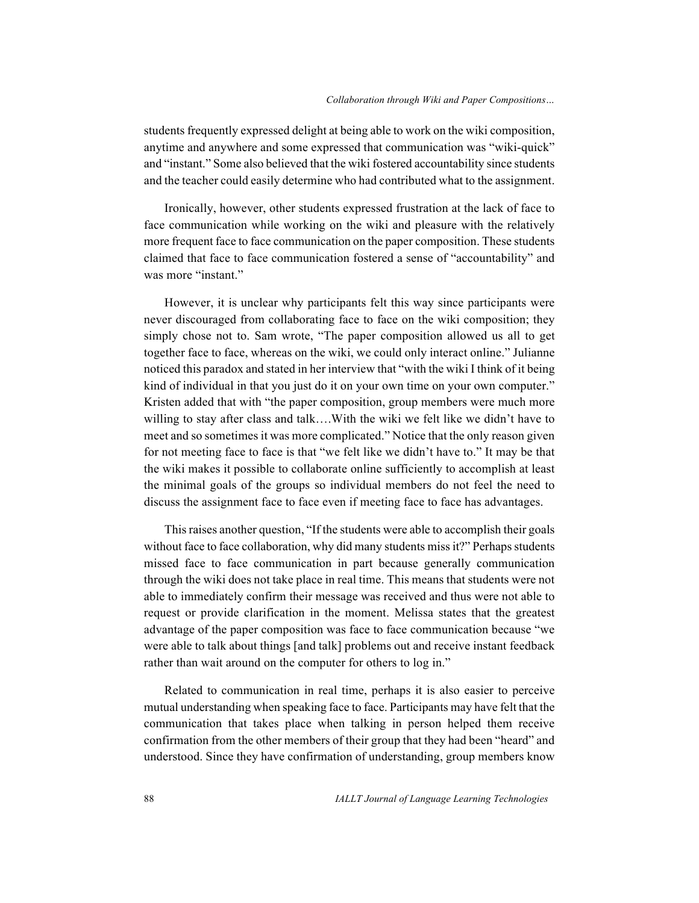students frequently expressed delight at being able to work on the wiki composition, anytime and anywhere and some expressed that communication was "wiki-quick" and "instant." Some also believed that the wiki fostered accountability since students and the teacher could easily determine who had contributed what to the assignment.

Ironically, however, other students expressed frustration at the lack of face to face communication while working on the wiki and pleasure with the relatively more frequent face to face communication on the paper composition. These students claimed that face to face communication fostered a sense of "accountability" and was more "instant."

However, it is unclear why participants felt this way since participants were never discouraged from collaborating face to face on the wiki composition; they simply chose not to. Sam wrote, "The paper composition allowed us all to get together face to face, whereas on the wiki, we could only interact online." Julianne noticed this paradox and stated in her interview that "with the wiki I think of it being kind of individual in that you just do it on your own time on your own computer." Kristen added that with "the paper composition, group members were much more willing to stay after class and talk....With the wiki we felt like we didn't have to meet and so sometimes it was more complicated." Notice that the only reason given for not meeting face to face is that "we felt like we didn't have to." It may be that the wiki makes it possible to collaborate online sufficiently to accomplish at least the minimal goals of the groups so individual members do not feel the need to discuss the assignment face to face even if meeting face to face has advantages.

This raises another question, "If the students were able to accomplish their goals without face to face collaboration, why did many students miss it?" Perhaps students missed face to face communication in part because generally communication through the wiki does not take place in real time. This means that students were not able to immediately confirm their message was received and thus were not able to request or provide clarification in the moment. Melissa states that the greatest advantage of the paper composition was face to face communication because "we were able to talk about things [and talk] problems out and receive instant feedback rather than wait around on the computer for others to log in."

Related to communication in real time, perhaps it is also easier to perceive mutual understanding when speaking face to face. Participants may have felt that the communication that takes place when talking in person helped them receive confirmation from the other members of their group that they had been "heard" and understood. Since they have confirmation of understanding, group members know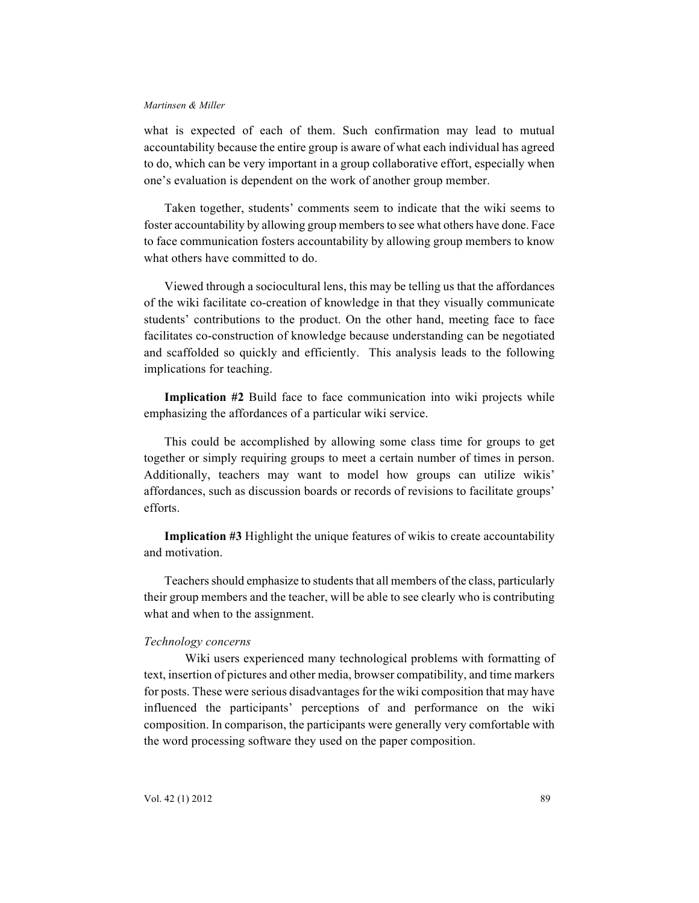what is expected of each of them. Such confirmation may lead to mutual accountability because the entire group is aware of what each individual has agreed to do, which can be very important in a group collaborative effort, especially when one's evaluation is dependent on the work of another group member.

Taken together, students' comments seem to indicate that the wiki seems to foster accountability by allowing group members to see what others have done. Face to face communication fosters accountability by allowing group members to know what others have committed to do.

Viewed through a sociocultural lens, this may be telling us that the affordances of the wiki facilitate co-creation of knowledge in that they visually communicate students' contributions to the product. On the other hand, meeting face to face facilitates co-construction of knowledge because understanding can be negotiated and scaffolded so quickly and efficiently. This analysis leads to the following implications for teaching.

**Implication #2** Build face to face communication into wiki projects while emphasizing the affordances of a particular wiki service.

This could be accomplished by allowing some class time for groups to get together or simply requiring groups to meet a certain number of times in person. Additionally, teachers may want to model how groups can utilize wikis' affordances, such as discussion boards or records of revisions to facilitate groups' efforts.

**Implication #3** Highlight the unique features of wikis to create accountability and motivation.

Teachers should emphasize to students that all members of the class, particularly their group members and the teacher, will be able to see clearly who is contributing what and when to the assignment.

## *Technology concerns*

Wiki users experienced many technological problems with formatting of text, insertion of pictures and other media, browser compatibility, and time markers for posts. These were serious disadvantages for the wiki composition that may have influenced the participants' perceptions of and performance on the wiki composition. In comparison, the participants were generally very comfortable with the word processing software they used on the paper composition.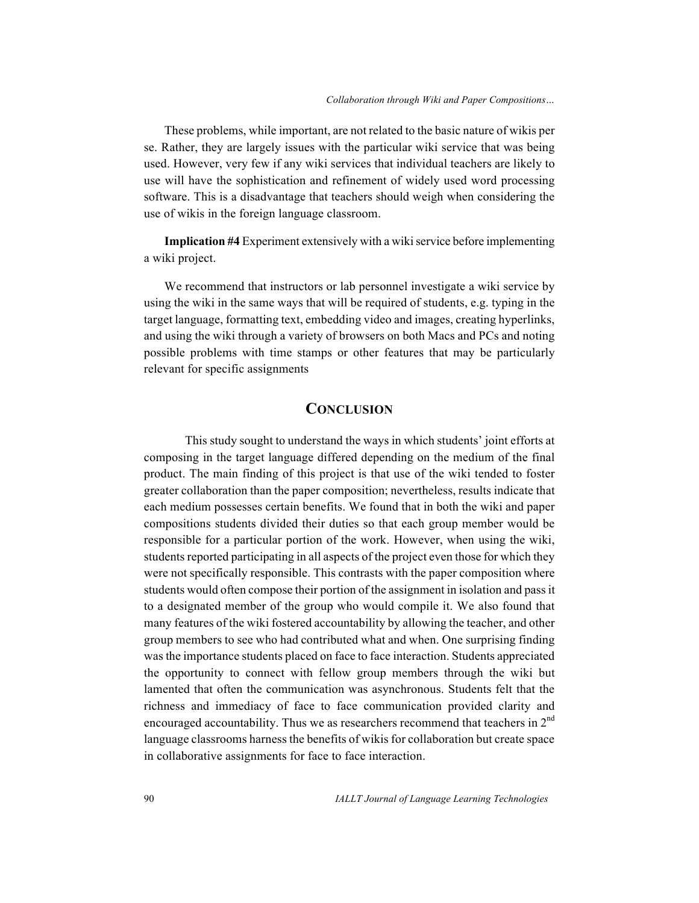These problems, while important, are not related to the basic nature of wikis per se. Rather, they are largely issues with the particular wiki service that was being used. However, very few if any wiki services that individual teachers are likely to use will have the sophistication and refinement of widely used word processing software. This is a disadvantage that teachers should weigh when considering the use of wikis in the foreign language classroom.

**Implication #4** Experiment extensively with a wiki service before implementing a wiki project.

We recommend that instructors or lab personnel investigate a wiki service by using the wiki in the same ways that will be required of students, e.g. typing in the target language, formatting text, embedding video and images, creating hyperlinks, and using the wiki through a variety of browsers on both Macs and PCs and noting possible problems with time stamps or other features that may be particularly relevant for specific assignments

## **CONCLUSION**

This study sought to understand the ways in which students' joint efforts at composing in the target language differed depending on the medium of the final product. The main finding of this project is that use of the wiki tended to foster greater collaboration than the paper composition; nevertheless, results indicate that each medium possesses certain benefits. We found that in both the wiki and paper compositions students divided their duties so that each group member would be responsible for a particular portion of the work. However, when using the wiki, students reported participating in all aspects of the project even those for which they were not specifically responsible. This contrasts with the paper composition where students would often compose their portion of the assignment in isolation and pass it to a designated member of the group who would compile it. We also found that many features of the wiki fostered accountability by allowing the teacher, and other group members to see who had contributed what and when. One surprising finding was the importance students placed on face to face interaction. Students appreciated the opportunity to connect with fellow group members through the wiki but lamented that often the communication was asynchronous. Students felt that the richness and immediacy of face to face communication provided clarity and encouraged accountability. Thus we as researchers recommend that teachers in  $2<sup>nd</sup>$ language classrooms harness the benefits of wikis for collaboration but create space in collaborative assignments for face to face interaction.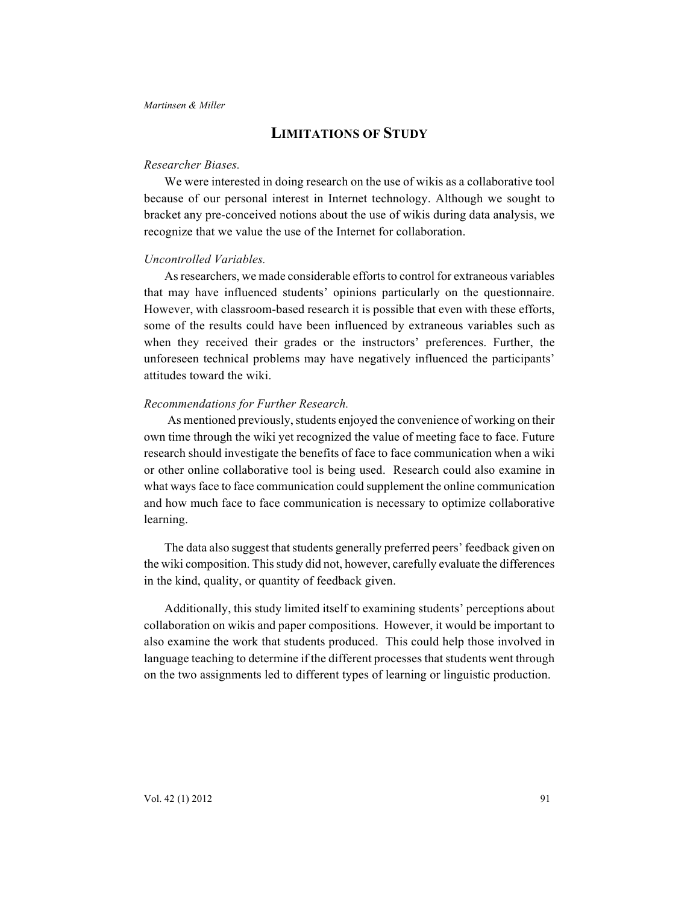# **LIMITATIONS OF STUDY**

#### *Researcher Biases.*

We were interested in doing research on the use of wikis as a collaborative tool because of our personal interest in Internet technology. Although we sought to bracket any pre-conceived notions about the use of wikis during data analysis, we recognize that we value the use of the Internet for collaboration.

## *Uncontrolled Variables.*

As researchers, we made considerable efforts to control for extraneous variables that may have influenced students' opinions particularly on the questionnaire. However, with classroom-based research it is possible that even with these efforts, some of the results could have been influenced by extraneous variables such as when they received their grades or the instructors' preferences. Further, the unforeseen technical problems may have negatively influenced the participants' attitudes toward the wiki.

## *Recommendations for Further Research.*

As mentioned previously, students enjoyed the convenience of working on their own time through the wiki yet recognized the value of meeting face to face. Future research should investigate the benefits of face to face communication when a wiki or other online collaborative tool is being used. Research could also examine in what ways face to face communication could supplement the online communication and how much face to face communication is necessary to optimize collaborative learning.

The data also suggest that students generally preferred peers' feedback given on the wiki composition. This study did not, however, carefully evaluate the differences in the kind, quality, or quantity of feedback given.

Additionally, this study limited itself to examining students' perceptions about collaboration on wikis and paper compositions. However, it would be important to also examine the work that students produced. This could help those involved in language teaching to determine if the different processes that students went through on the two assignments led to different types of learning or linguistic production.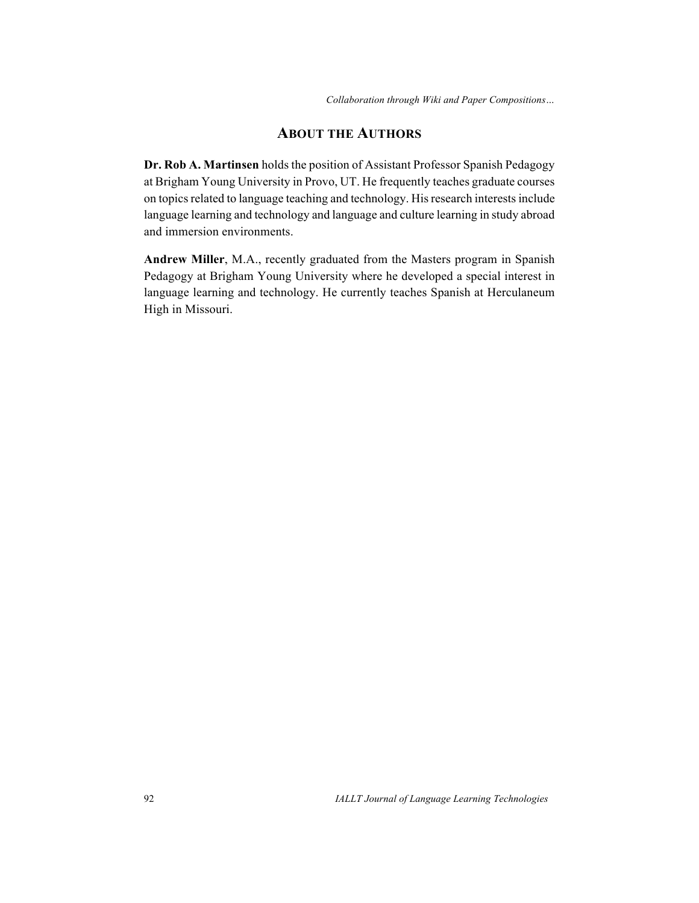*Collaboration through Wiki and Paper Compositions…*

## **ABOUT THE AUTHORS**

**Dr. Rob A. Martinsen** holds the position of Assistant Professor Spanish Pedagogy at Brigham Young University in Provo, UT. He frequently teaches graduate courses on topics related to language teaching and technology. His research interests include language learning and technology and language and culture learning in study abroad and immersion environments.

**Andrew Miller**, M.A., recently graduated from the Masters program in Spanish Pedagogy at Brigham Young University where he developed a special interest in language learning and technology. He currently teaches Spanish at Herculaneum High in Missouri.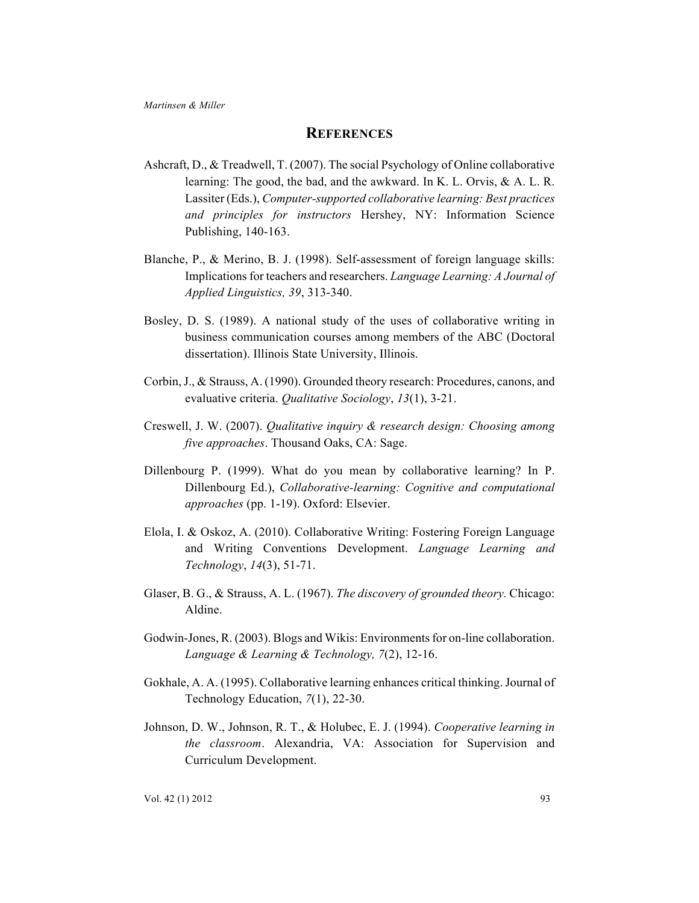## **REFERENCES**

- Ashcraft, D., & Treadwell, T. (2007). The social Psychology of Online collaborative learning: The good, the bad, and the awkward. In K. L. Orvis, & A. L. R. Lassiter (Eds.), *Computer-supported collaborative learning: Best practices and principles for instructors* Hershey, NY: Information Science Publishing, 140-163.
- Blanche, P., & Merino, B. J. (1998). Self-assessment of foreign language skills: Implications for teachers and researchers. *Language Learning: A Journal of Applied Linguistics, 39*, 313-340.
- Bosley, D. S. (1989). A national study of the uses of collaborative writing in business communication courses among members of the ABC (Doctoral dissertation). Illinois State University, Illinois.
- Corbin, J., & Strauss, A. (1990). Grounded theory research: Procedures, canons, and evaluative criteria. *Qualitative Sociology*, *13*(1), 3-21.
- Creswell, J. W. (2007). *Qualitative inquiry & research design: Choosing among five approaches*. Thousand Oaks, CA: Sage.
- Dillenbourg P. (1999). What do you mean by collaborative learning? In P. Dillenbourg Ed.), *Collaborative-learning: Cognitive and computational approaches* (pp. 1-19). Oxford: Elsevier.
- Elola, I. & Oskoz, A. (2010). Collaborative Writing: Fostering Foreign Language and Writing Conventions Development. *Language Learning and Technology*, *14*(3), 51-71.
- Glaser, B. G., & Strauss, A. L. (1967). *The discovery of grounded theory.* Chicago: Aldine.
- Godwin-Jones, R. (2003). Blogs and Wikis: Environments for on-line collaboration. *Language & Learning & Technology, 7*(2), 12-16.
- Gokhale, A. A. (1995). Collaborative learning enhances critical thinking. Journal of Technology Education, *7*(1), 22-30.
- Johnson, D. W., Johnson, R. T., & Holubec, E. J. (1994). *Cooperative learning in the classroom*. Alexandria, VA: Association for Supervision and Curriculum Development.

Vol. 42 (1) 2012 93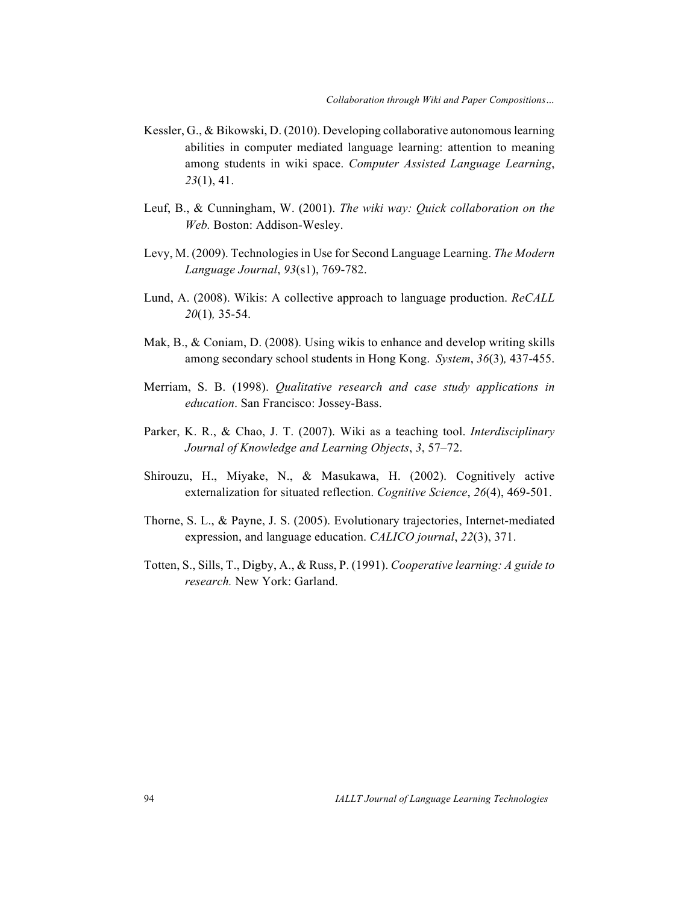- Kessler, G., & Bikowski, D. (2010). Developing collaborative autonomous learning abilities in computer mediated language learning: attention to meaning among students in wiki space. *Computer Assisted Language Learning*, *23*(1), 41.
- Leuf, B., & Cunningham, W. (2001). *The wiki way: Quick collaboration on the Web.* Boston: Addison-Wesley.
- Levy, M. (2009). Technologies in Use for Second Language Learning. *The Modern Language Journal*, *93*(s1), 769-782.
- Lund, A. (2008). Wikis: A collective approach to language production. *ReCALL 20*(1)*,* 35-54.
- Mak, B., & Coniam, D. (2008). Using wikis to enhance and develop writing skills among secondary school students in Hong Kong. *System*, *36*(3)*,* 437-455.
- Merriam, S. B. (1998). *Qualitative research and case study applications in education*. San Francisco: Jossey-Bass.
- Parker, K. R., & Chao, J. T. (2007). Wiki as a teaching tool. *Interdisciplinary Journal of Knowledge and Learning Objects*, *3*, 57–72.
- Shirouzu, H., Miyake, N., & Masukawa, H. (2002). Cognitively active externalization for situated reflection. *Cognitive Science*, *26*(4), 469-501.
- Thorne, S. L., & Payne, J. S. (2005). Evolutionary trajectories, Internet-mediated expression, and language education. *CALICO journal*, *22*(3), 371.
- Totten, S., Sills, T., Digby, A., & Russ, P. (1991). *Cooperative learning: A guide to research.* New York: Garland.